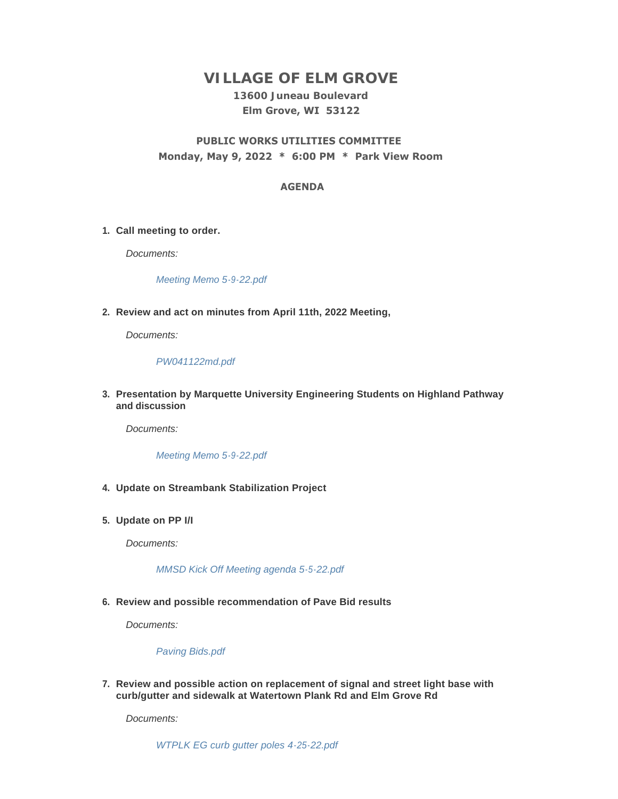# **VILLAGE OF ELM GROVE**

# **13600 Juneau Boulevard Elm Grove, WI 53122**

# **PUBLIC WORKS UTILITIES COMMITTEE Monday, May 9, 2022 \* 6:00 PM \* Park View Room**

# **AGENDA**

## **Call meeting to order. 1.**

*Documents:*

*[Meeting Memo 5-9-22.pdf](https://elmgrovewi.org/AgendaCenter/ViewFile/Item/11871?fileID=18926)*

**Review and act on minutes from April 11th, 2022 Meeting, 2.**

*Documents:*

## *[PW041122md.pdf](https://elmgrovewi.org/AgendaCenter/ViewFile/Item/11856?fileID=18919)*

**Presentation by Marquette University Engineering Students on Highland Pathway 3. and discussion**

*Documents:*

#### *[Meeting Memo 5-9-22.pdf](https://elmgrovewi.org/AgendaCenter/ViewFile/Item/11870?fileID=18925)*

- **Update on Streambank Stabilization Project 4.**
- **Update on PP I/I 5.**

*Documents:*

#### *[MMSD Kick Off Meeting agenda 5-5-22.pdf](https://elmgrovewi.org/AgendaCenter/ViewFile/Item/11857?fileID=18920)*

## **Review and possible recommendation of Pave Bid results 6.**

*Documents:*

#### *[Paving Bids.pdf](https://elmgrovewi.org/AgendaCenter/ViewFile/Item/11859?fileID=18921)*

**Review and possible action on replacement of signal and street light base with 7. curb/gutter and sidewalk at Watertown Plank Rd and Elm Grove Rd** 

*Documents:*